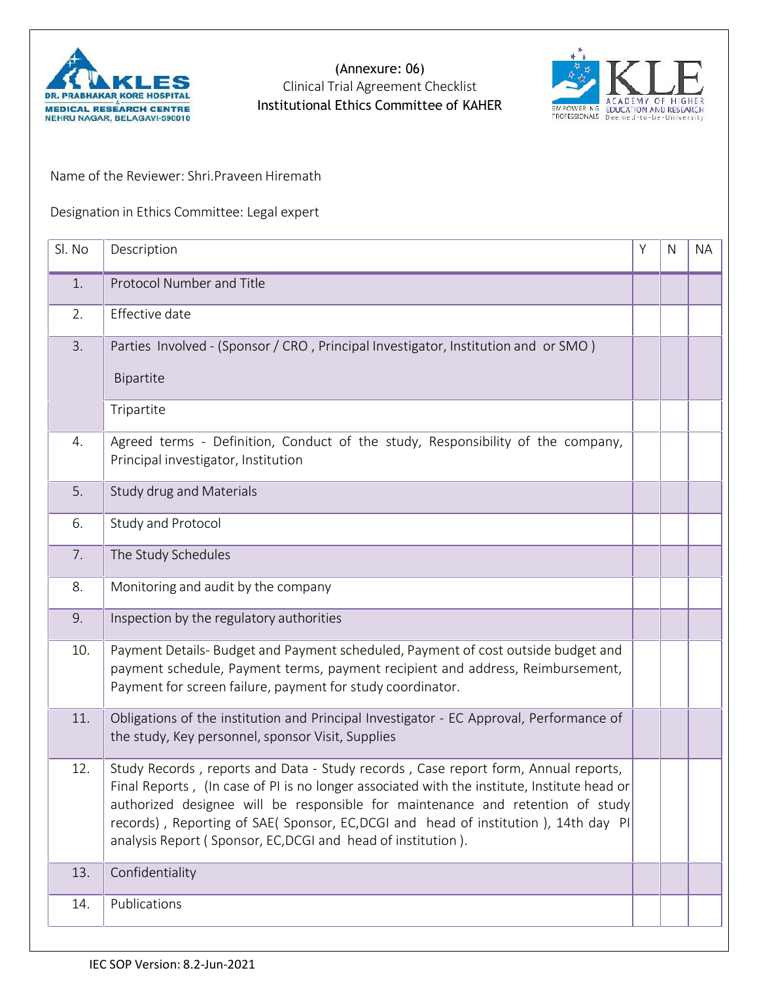

(Annexure: 06) Clinical Trial Agreement Checklist



Name of the Reviewer: Shri.Praveen Hiremath

Designation in Ethics Committee: Legal expert

| Sl. No | Description                                                                                                                                                                                                                                                                                                                                                                                                                | Υ | N | <b>NA</b> |
|--------|----------------------------------------------------------------------------------------------------------------------------------------------------------------------------------------------------------------------------------------------------------------------------------------------------------------------------------------------------------------------------------------------------------------------------|---|---|-----------|
| 1.     | Protocol Number and Title                                                                                                                                                                                                                                                                                                                                                                                                  |   |   |           |
| 2.     | Effective date                                                                                                                                                                                                                                                                                                                                                                                                             |   |   |           |
| 3.     | Parties Involved - (Sponsor / CRO, Principal Investigator, Institution and or SMO)<br>Bipartite                                                                                                                                                                                                                                                                                                                            |   |   |           |
|        | Tripartite                                                                                                                                                                                                                                                                                                                                                                                                                 |   |   |           |
| 4.     | Agreed terms - Definition, Conduct of the study, Responsibility of the company,<br>Principal investigator, Institution                                                                                                                                                                                                                                                                                                     |   |   |           |
| 5.     | Study drug and Materials                                                                                                                                                                                                                                                                                                                                                                                                   |   |   |           |
| 6.     | Study and Protocol                                                                                                                                                                                                                                                                                                                                                                                                         |   |   |           |
| 7.     | The Study Schedules                                                                                                                                                                                                                                                                                                                                                                                                        |   |   |           |
| 8.     | Monitoring and audit by the company                                                                                                                                                                                                                                                                                                                                                                                        |   |   |           |
| 9.     | Inspection by the regulatory authorities                                                                                                                                                                                                                                                                                                                                                                                   |   |   |           |
| 10.    | Payment Details- Budget and Payment scheduled, Payment of cost outside budget and<br>payment schedule, Payment terms, payment recipient and address, Reimbursement,<br>Payment for screen failure, payment for study coordinator.                                                                                                                                                                                          |   |   |           |
| 11.    | Obligations of the institution and Principal Investigator - EC Approval, Performance of<br>the study, Key personnel, sponsor Visit, Supplies                                                                                                                                                                                                                                                                               |   |   |           |
| 12.    | Study Records, reports and Data - Study records, Case report form, Annual reports,<br>Final Reports, (In case of PI is no longer associated with the institute, Institute head or<br>authorized designee will be responsible for maintenance and retention of study<br>records), Reporting of SAE( Sponsor, EC, DCGI and head of institution), 14th day PI<br>analysis Report (Sponsor, EC, DCGI and head of institution). |   |   |           |
| 13.    | Confidentiality                                                                                                                                                                                                                                                                                                                                                                                                            |   |   |           |
| 14.    | Publications                                                                                                                                                                                                                                                                                                                                                                                                               |   |   |           |